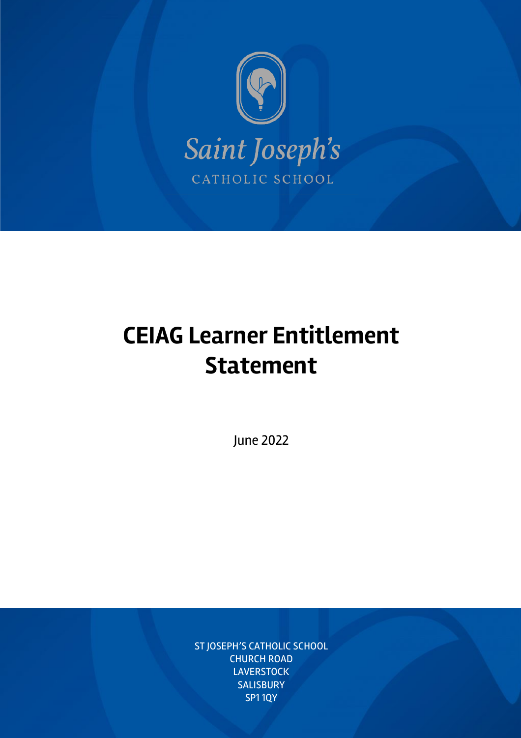

# **CEIAG Learner Entitlement Statement**

June 2022

CEIAG Learner Entitlement Statement Statement Statement Statement Statement Page 1999 in 1999 in 1999 in 1999<br>1999 – Entitlement Page 1999 in 1999 in 1999 in 1999 in 1999 in 1999 in 1999 in 1999 in 1999 in 1999 in 1999 i ST JOSEPH'S CATHOLIC SCHOOL CHURCH ROAD **LAVERSTOCK SALISBURY** SP1 1QY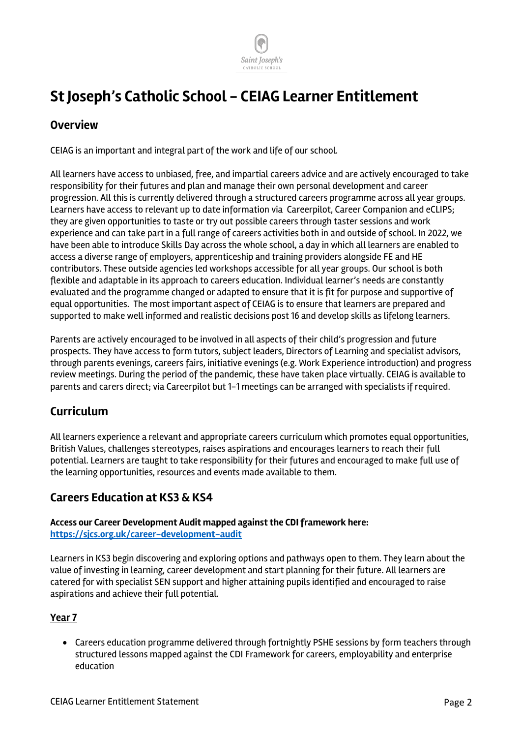

# **St Joseph's Catholic School - CEIAG Learner Entitlement**

## **Overview**

CEIAG is an important and integral part of the work and life of our school.

All learners have access to unbiased, free, and impartial careers advice and are actively encouraged to take responsibility for their futures and plan and manage their own personal development and career progression. All this is currently delivered through a structured careers programme across all year groups. Learners have access to relevant up to date information via Careerpilot, Career Companion and eCLIPS; they are given opportunities to taste or try out possible careers through taster sessions and work experience and can take part in a full range of careers activities both in and outside of school. In 2022, we have been able to introduce Skills Day across the whole school, a day in which all learners are enabled to access a diverse range of employers, apprenticeship and training providers alongside FE and HE contributors. These outside agencies led workshops accessible for all year groups. Our school is both flexible and adaptable in its approach to careers education. Individual learner's needs are constantly evaluated and the programme changed or adapted to ensure that it is fit for purpose and supportive of equal opportunities. The most important aspect of CEIAG is to ensure that learners are prepared and supported to make well informed and realistic decisions post 16 and develop skills as lifelong learners.

Parents are actively encouraged to be involved in all aspects of their child's progression and future prospects. They have access to form tutors, subject leaders, Directors of Learning and specialist advisors, through parents evenings, careers fairs, initiative evenings (e.g. Work Experience introduction) and progress review meetings. During the period of the pandemic, these have taken place virtually. CEIAG is available to parents and carers direct; via Careerpilot but 1-1 meetings can be arranged with specialists if required.

# **Curriculum**

All learners experience a relevant and appropriate careers curriculum which promotes equal opportunities, British Values, challenges stereotypes, raises aspirations and encourages learners to reach their full potential. Learners are taught to take responsibility for their futures and encouraged to make full use of the learning opportunities, resources and events made available to them.

### **Careers Education at KS3 & KS4**

#### **Access our Career Development Audit mapped against the CDI framework here: https://sjcs.org.uk/career-development-audit**

Learners in KS3 begin discovering and exploring options and pathways open to them. They learn about the value of investing in learning, career development and start planning for their future. All learners are catered for with specialist SEN support and higher attaining pupils identified and encouraged to raise aspirations and achieve their full potential.

#### **Year 7**

• Careers education programme delivered through fortnightly PSHE sessions by form teachers through structured lessons mapped against the CDI Framework for careers, employability and enterprise education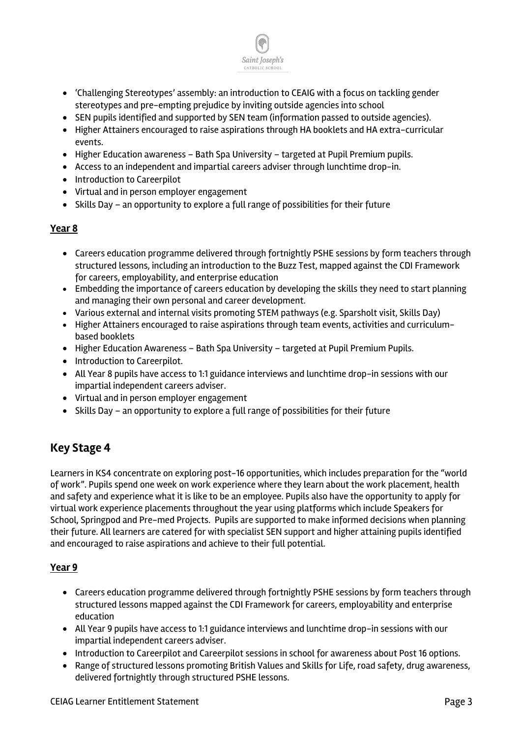

- 'Challenging Stereotypes' assembly: an introduction to CEAIG with a focus on tackling gender stereotypes and pre-empting prejudice by inviting outside agencies into school
- SEN pupils identified and supported by SEN team (information passed to outside agencies).
- Higher Attainers encouraged to raise aspirations through HA booklets and HA extra-curricular events.
- Higher Education awareness Bath Spa University targeted at Pupil Premium pupils.
- Access to an independent and impartial careers adviser through lunchtime drop-in.
- Introduction to Careerpilot
- Virtual and in person employer engagement
- Skills Day an opportunity to explore a full range of possibilities for their future

#### **Year 8**

- Careers education programme delivered through fortnightly PSHE sessions by form teachers through structured lessons, including an introduction to the Buzz Test, mapped against the CDI Framework for careers, employability, and enterprise education
- Embedding the importance of careers education by developing the skills they need to start planning and managing their own personal and career development.
- Various external and internal visits promoting STEM pathways (e.g. Sparsholt visit, Skills Day)
- Higher Attainers encouraged to raise aspirations through team events, activities and curriculumbased booklets
- Higher Education Awareness Bath Spa University targeted at Pupil Premium Pupils.
- Introduction to Careerpilot.
- All Year 8 pupils have access to 1:1 guidance interviews and lunchtime drop-in sessions with our impartial independent careers adviser.
- Virtual and in person employer engagement
- Skills Day an opportunity to explore a full range of possibilities for their future

# **Key Stage 4**

Learners in KS4 concentrate on exploring post-16 opportunities, which includes preparation for the "world of work". Pupils spend one week on work experience where they learn about the work placement, health and safety and experience what it is like to be an employee. Pupils also have the opportunity to apply for virtual work experience placements throughout the year using platforms which include Speakers for School, Springpod and Pre-med Projects. Pupils are supported to make informed decisions when planning their future. All learners are catered for with specialist SEN support and higher attaining pupils identified and encouraged to raise aspirations and achieve to their full potential.

#### **Year 9**

- Careers education programme delivered through fortnightly PSHE sessions by form teachers through structured lessons mapped against the CDI Framework for careers, employability and enterprise education
- All Year 9 pupils have access to 1:1 guidance interviews and lunchtime drop-in sessions with our impartial independent careers adviser.
- Introduction to Careerpilot and Careerpilot sessions in school for awareness about Post 16 options.
- Range of structured lessons promoting British Values and Skills for Life, road safety, drug awareness, delivered fortnightly through structured PSHE lessons.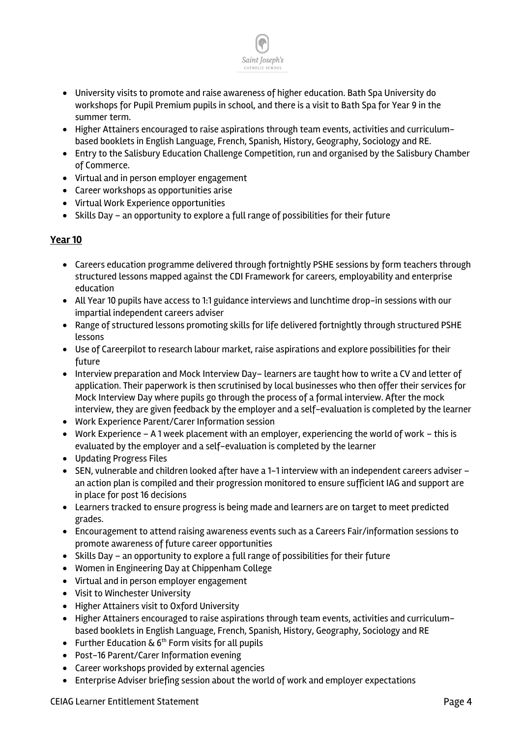

- University visits to promote and raise awareness of higher education. Bath Spa University do workshops for Pupil Premium pupils in school, and there is a visit to Bath Spa for Year 9 in the summer term.
- Higher Attainers encouraged to raise aspirations through team events, activities and curriculumbased booklets in English Language, French, Spanish, History, Geography, Sociology and RE.
- Entry to the Salisbury Education Challenge Competition, run and organised by the Salisbury Chamber of Commerce.
- Virtual and in person employer engagement
- Career workshops as opportunities arise
- Virtual Work Experience opportunities
- Skills Day an opportunity to explore a full range of possibilities for their future

#### **Year 10**

- Careers education programme delivered through fortnightly PSHE sessions by form teachers through structured lessons mapped against the CDI Framework for careers, employability and enterprise education
- All Year 10 pupils have access to 1:1 guidance interviews and lunchtime drop-in sessions with our impartial independent careers adviser
- Range of structured lessons promoting skills for life delivered fortnightly through structured PSHE lessons
- Use of Careerpilot to research labour market, raise aspirations and explore possibilities for their future
- Interview preparation and Mock Interview Day– learners are taught how to write a CV and letter of application. Their paperwork is then scrutinised by local businesses who then offer their services for Mock Interview Day where pupils go through the process of a formal interview. After the mock interview, they are given feedback by the employer and a self-evaluation is completed by the learner
- Work Experience Parent/Carer Information session
- Work Experience A 1 week placement with an employer, experiencing the world of work this is evaluated by the employer and a self-evaluation is completed by the learner
- Updating Progress Files
- SEN, vulnerable and children looked after have a 1-1 interview with an independent careers adviser an action plan is compiled and their progression monitored to ensure sufficient IAG and support are in place for post 16 decisions
- Learners tracked to ensure progress is being made and learners are on target to meet predicted grades.
- Encouragement to attend raising awareness events such as a Careers Fair/information sessions to promote awareness of future career opportunities
- Skills Day an opportunity to explore a full range of possibilities for their future
- Women in Engineering Day at Chippenham College
- Virtual and in person employer engagement
- Visit to Winchester University
- Higher Attainers visit to Oxford University
- Higher Attainers encouraged to raise aspirations through team events, activities and curriculumbased booklets in English Language, French, Spanish, History, Geography, Sociology and RE
- Further Education  $\&$  6<sup>th</sup> Form visits for all pupils
- Post-16 Parent/Carer Information evening
- Career workshops provided by external agencies
- Enterprise Adviser briefing session about the world of work and employer expectations